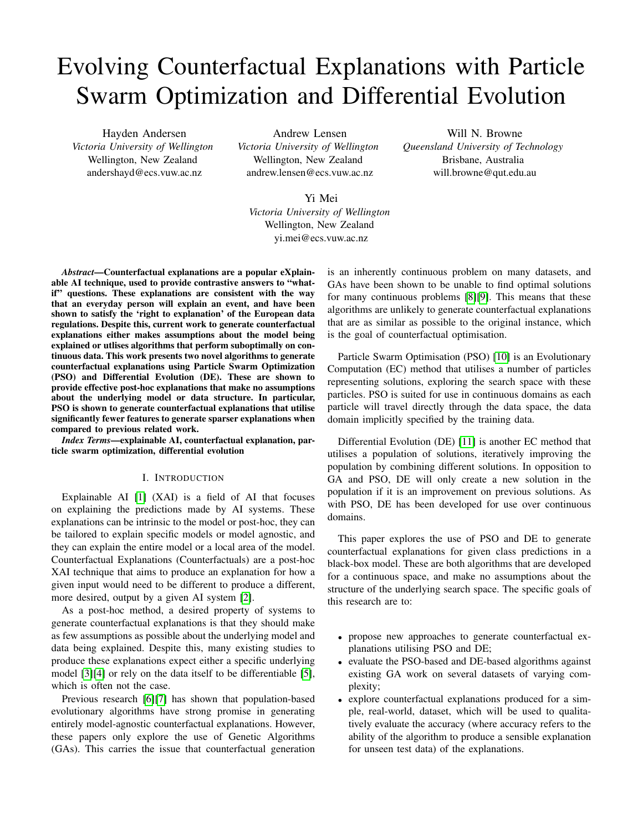# Evolving Counterfactual Explanations with Particle Swarm Optimization and Differential Evolution

Hayden Andersen *Victoria University of Wellington* Wellington, New Zealand andershayd@ecs.vuw.ac.nz

Andrew Lensen *Victoria University of Wellington* Wellington, New Zealand andrew.lensen@ecs.vuw.ac.nz

Will N. Browne *Queensland University of Technology* Brisbane, Australia will.browne@qut.edu.au

Yi Mei

*Victoria University of Wellington* Wellington, New Zealand yi.mei@ecs.vuw.ac.nz

*Abstract*—Counterfactual explanations are a popular eXplainable AI technique, used to provide contrastive answers to "whatif" questions. These explanations are consistent with the way that an everyday person will explain an event, and have been shown to satisfy the 'right to explanation' of the European data regulations. Despite this, current work to generate counterfactual explanations either makes assumptions about the model being explained or utlises algorithms that perform suboptimally on continuous data. This work presents two novel algorithms to generate counterfactual explanations using Particle Swarm Optimization (PSO) and Differential Evolution (DE). These are shown to provide effective post-hoc explanations that make no assumptions about the underlying model or data structure. In particular, PSO is shown to generate counterfactual explanations that utilise significantly fewer features to generate sparser explanations when compared to previous related work.

*Index Terms*—explainable AI, counterfactual explanation, particle swarm optimization, differential evolution

#### I. INTRODUCTION

Explainable AI [\[1\]](#page-7-0) (XAI) is a field of AI that focuses on explaining the predictions made by AI systems. These explanations can be intrinsic to the model or post-hoc, they can be tailored to explain specific models or model agnostic, and they can explain the entire model or a local area of the model. Counterfactual Explanations (Counterfactuals) are a post-hoc XAI technique that aims to produce an explanation for how a given input would need to be different to produce a different, more desired, output by a given AI system [\[2\]](#page-7-1).

As a post-hoc method, a desired property of systems to generate counterfactual explanations is that they should make as few assumptions as possible about the underlying model and data being explained. Despite this, many existing studies to produce these explanations expect either a specific underlying model [\[3\]](#page-7-2)[\[4\]](#page-7-3) or rely on the data itself to be differentiable [\[5\]](#page-7-4), which is often not the case.

Previous research [\[6\]](#page-7-5)[\[7\]](#page-7-6) has shown that population-based evolutionary algorithms have strong promise in generating entirely model-agnostic counterfactual explanations. However, these papers only explore the use of Genetic Algorithms (GAs). This carries the issue that counterfactual generation is an inherently continuous problem on many datasets, and GAs have been shown to be unable to find optimal solutions for many continuous problems [\[8\]](#page-7-7)[\[9\]](#page-7-8). This means that these algorithms are unlikely to generate counterfactual explanations that are as similar as possible to the original instance, which is the goal of counterfactual optimisation.

Particle Swarm Optimisation (PSO) [\[10\]](#page-7-9) is an Evolutionary Computation (EC) method that utilises a number of particles representing solutions, exploring the search space with these particles. PSO is suited for use in continuous domains as each particle will travel directly through the data space, the data domain implicitly specified by the training data.

Differential Evolution (DE) [\[11\]](#page-7-10) is another EC method that utilises a population of solutions, iteratively improving the population by combining different solutions. In opposition to GA and PSO, DE will only create a new solution in the population if it is an improvement on previous solutions. As with PSO, DE has been developed for use over continuous domains.

This paper explores the use of PSO and DE to generate counterfactual explanations for given class predictions in a black-box model. These are both algorithms that are developed for a continuous space, and make no assumptions about the structure of the underlying search space. The specific goals of this research are to:

- propose new approaches to generate counterfactual explanations utilising PSO and DE;
- evaluate the PSO-based and DE-based algorithms against existing GA work on several datasets of varying complexity;
- explore counterfactual explanations produced for a simple, real-world, dataset, which will be used to qualitatively evaluate the accuracy (where accuracy refers to the ability of the algorithm to produce a sensible explanation for unseen test data) of the explanations.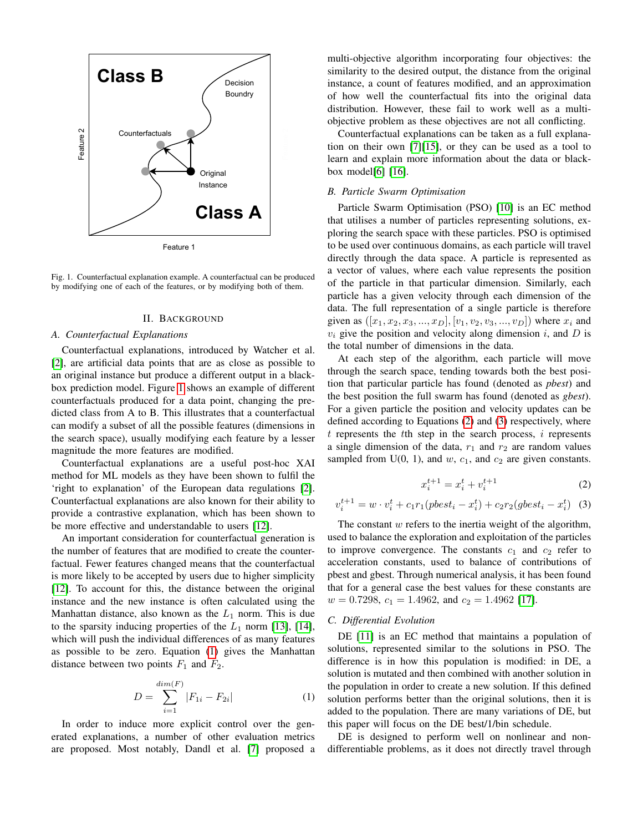

<span id="page-1-0"></span>Fig. 1. Counterfactual explanation example. A counterfactual can be produced by modifying one of each of the features, or by modifying both of them.

# II. BACKGROUND

## <span id="page-1-4"></span>*A. Counterfactual Explanations*

Counterfactual explanations, introduced by Watcher et al. [\[2\]](#page-7-1), are artificial data points that are as close as possible to an original instance but produce a different output in a blackbox prediction model. Figure [1](#page-1-0) shows an example of different counterfactuals produced for a data point, changing the predicted class from A to B. This illustrates that a counterfactual can modify a subset of all the possible features (dimensions in the search space), usually modifying each feature by a lesser magnitude the more features are modified.

Counterfactual explanations are a useful post-hoc XAI method for ML models as they have been shown to fulfil the 'right to explanation' of the European data regulations [\[2\]](#page-7-1). Counterfactual explanations are also known for their ability to provide a contrastive explanation, which has been shown to be more effective and understandable to users [\[12\]](#page-7-11).

An important consideration for counterfactual generation is the number of features that are modified to create the counterfactual. Fewer features changed means that the counterfactual is more likely to be accepted by users due to higher simplicity [\[12\]](#page-7-11). To account for this, the distance between the original instance and the new instance is often calculated using the Manhattan distance, also known as the  $L_1$  norm. This is due to the sparsity inducing properties of the  $L_1$  norm [\[13\]](#page-7-12), [\[14\]](#page-7-13), which will push the individual differences of as many features as possible to be zero. Equation [\(1\)](#page-1-1) gives the Manhattan distance between two points  $F_1$  and  $F_2$ .

<span id="page-1-1"></span>
$$
D = \sum_{i=1}^{\dim(F)} |F_{1i} - F_{2i}| \tag{1}
$$

In order to induce more explicit control over the generated explanations, a number of other evaluation metrics are proposed. Most notably, Dandl et al. [\[7\]](#page-7-6) proposed a multi-objective algorithm incorporating four objectives: the similarity to the desired output, the distance from the original instance, a count of features modified, and an approximation of how well the counterfactual fits into the original data distribution. However, these fail to work well as a multiobjective problem as these objectives are not all conflicting.

Counterfactual explanations can be taken as a full explanation on their own [\[7\]](#page-7-6)[\[15\]](#page-7-14), or they can be used as a tool to learn and explain more information about the data or blackbox model[\[6\]](#page-7-5) [\[16\]](#page-7-15).

# *B. Particle Swarm Optimisation*

Particle Swarm Optimisation (PSO) [\[10\]](#page-7-9) is an EC method that utilises a number of particles representing solutions, exploring the search space with these particles. PSO is optimised to be used over continuous domains, as each particle will travel directly through the data space. A particle is represented as a vector of values, where each value represents the position of the particle in that particular dimension. Similarly, each particle has a given velocity through each dimension of the data. The full representation of a single particle is therefore given as  $([x_1, x_2, x_3, ..., x_D], [v_1, v_2, v_3, ..., v_D])$  where  $x_i$  and  $v_i$  give the position and velocity along dimension i, and  $D$  is the total number of dimensions in the data.

At each step of the algorithm, each particle will move through the search space, tending towards both the best position that particular particle has found (denoted as *pbest*) and the best position the full swarm has found (denoted as *gbest*). For a given particle the position and velocity updates can be defined according to Equations [\(2\)](#page-1-2) and [\(3\)](#page-1-3) respectively, where  $t$  represents the  $t$ th step in the search process,  $i$  represents a single dimension of the data,  $r_1$  and  $r_2$  are random values sampled from  $U(0, 1)$ , and  $w$ ,  $c_1$ , and  $c_2$  are given constants.

<span id="page-1-2"></span>
$$
x_i^{t+1} = x_i^t + v_i^{t+1} \tag{2}
$$

<span id="page-1-3"></span>
$$
v_i^{t+1} = w \cdot v_i^t + c_1 r_1 (pbest_i - x_i^t) + c_2 r_2 (gbest_i - x_i^t) \tag{3}
$$

The constant  $w$  refers to the inertia weight of the algorithm, used to balance the exploration and exploitation of the particles to improve convergence. The constants  $c_1$  and  $c_2$  refer to acceleration constants, used to balance of contributions of pbest and gbest. Through numerical analysis, it has been found that for a general case the best values for these constants are  $w = 0.7298$ ,  $c_1 = 1.4962$ , and  $c_2 = 1.4962$  [\[17\]](#page-7-16).

# *C. Differential Evolution*

DE [\[11\]](#page-7-10) is an EC method that maintains a population of solutions, represented similar to the solutions in PSO. The difference is in how this population is modified: in DE, a solution is mutated and then combined with another solution in the population in order to create a new solution. If this defined solution performs better than the original solutions, then it is added to the population. There are many variations of DE, but this paper will focus on the DE best/1/bin schedule.

DE is designed to perform well on nonlinear and nondifferentiable problems, as it does not directly travel through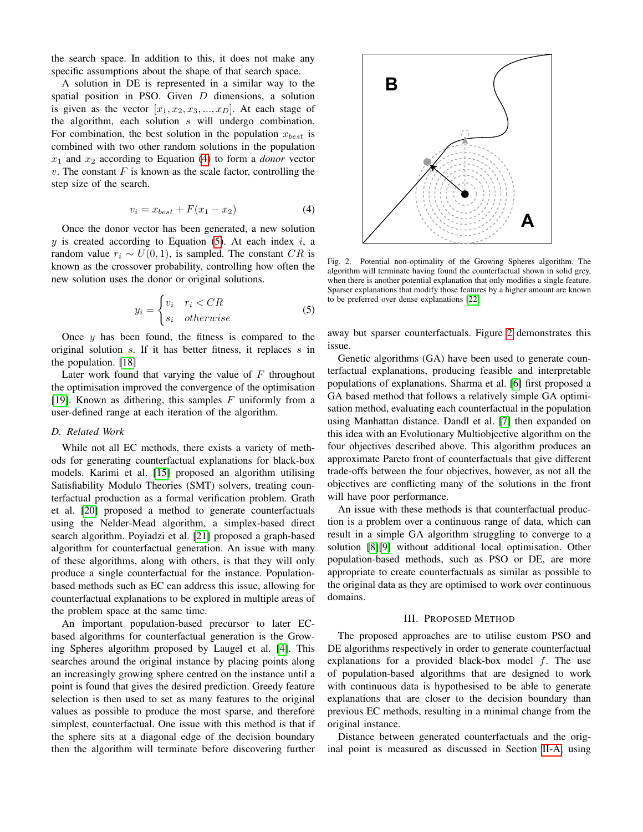the search space. In addition to this, it does not make any specific assumptions about the shape of that search space.

A solution in DE is represented in a similar way to the spatial position in PSO. Given  $D$  dimensions, a solution is given as the vector  $[x_1, x_2, x_3, ..., x_D]$ . At each stage of the algorithm, each solution s will undergo combination. For combination, the best solution in the population  $x_{best}$  is combined with two other random solutions in the population  $x_1$  and  $x_2$  according to Equation [\(4\)](#page-2-0) to form a *donor* vector  $v$ . The constant  $F$  is known as the scale factor, controlling the step size of the search.

<span id="page-2-0"></span>
$$
v_i = x_{best} + F(x_1 - x_2) \tag{4}
$$

Once the donor vector has been generated, a new solution  $y$  is created according to Equation [\(5\)](#page-2-1). At each index  $i$ , a random value  $r_i \sim U(0, 1)$ , is sampled. The constant CR is known as the crossover probability, controlling how often the new solution uses the donor or original solutions.

<span id="page-2-1"></span>
$$
y_i = \begin{cases} v_i & r_i < CR \\ s_i & otherwise \end{cases}
$$
 (5)

Once  $y$  has been found, the fitness is compared to the original solution s. If it has better fitness, it replaces s in the population. [\[18\]](#page-7-17)

Later work found that varying the value of  $F$  throughout the optimisation improved the convergence of the optimisation [\[19\]](#page-7-18). Known as dithering, this samples  $F$  uniformly from a user-defined range at each iteration of the algorithm.

#### *D. Related Work*

While not all EC methods, there exists a variety of methods for generating counterfactual explanations for black-box models. Karimi et al. [\[15\]](#page-7-14) proposed an algorithm utilising Satisfiability Modulo Theories (SMT) solvers, treating counterfactual production as a formal verification problem. Grath et al. [\[20\]](#page-7-19) proposed a method to generate counterfactuals using the Nelder-Mead algorithm, a simplex-based direct search algorithm. Poyiadzi et al. [\[21\]](#page-7-20) proposed a graph-based algorithm for counterfactual generation. An issue with many of these algorithms, along with others, is that they will only produce a single counterfactual for the instance. Populationbased methods such as EC can address this issue, allowing for counterfactual explanations to be explored in multiple areas of the problem space at the same time.

An important population-based precursor to later ECbased algorithms for counterfactual generation is the Growing Spheres algorithm proposed by Laugel et al. [\[4\]](#page-7-3). This searches around the original instance by placing points along an increasingly growing sphere centred on the instance until a point is found that gives the desired prediction. Greedy feature selection is then used to set as many features to the original values as possible to produce the most sparse, and therefore simplest, counterfactual. One issue with this method is that if the sphere sits at a diagonal edge of the decision boundary then the algorithm will terminate before discovering further



<span id="page-2-2"></span>Fig. 2. Potential non-optimality of the Growing Spheres algorithm. The algorithm will terminate having found the counterfactual shown in solid grey, when there is another potential explanation that only modifies a single feature. Sparser explanations that modify those features by a higher amount are known to be preferred over dense explanations [\[22\]](#page-7-21)

away but sparser counterfactuals. Figure [2](#page-2-2) demonstrates this issue.

Genetic algorithms (GA) have been used to generate counterfactual explanations, producing feasible and interpretable populations of explanations. Sharma et al. [\[6\]](#page-7-5) first proposed a GA based method that follows a relatively simple GA optimisation method, evaluating each counterfactual in the population using Manhattan distance. Dandl et al. [\[7\]](#page-7-6) then expanded on this idea with an Evolutionary Multiobjective algorithm on the four objectives described above. This algorithm produces an approximate Pareto front of counterfactuals that give different trade-offs between the four objectives, however, as not all the objectives are conflicting many of the solutions in the front will have poor performance.

An issue with these methods is that counterfactual production is a problem over a continuous range of data, which can result in a simple GA algorithm struggling to converge to a solution [\[8\]](#page-7-7)[\[9\]](#page-7-8) without additional local optimisation. Other population-based methods, such as PSO or DE, are more appropriate to create counterfactuals as similar as possible to the original data as they are optimised to work over continuous domains.

## III. PROPOSED METHOD

The proposed approaches are to utilise custom PSO and DE algorithms respectively in order to generate counterfactual explanations for a provided black-box model  $f$ . The use of population-based algorithms that are designed to work with continuous data is hypothesised to be able to generate explanations that are closer to the decision boundary than previous EC methods, resulting in a minimal change from the original instance.

Distance between generated counterfactuals and the original point is measured as discussed in Section [II-A,](#page-1-4) using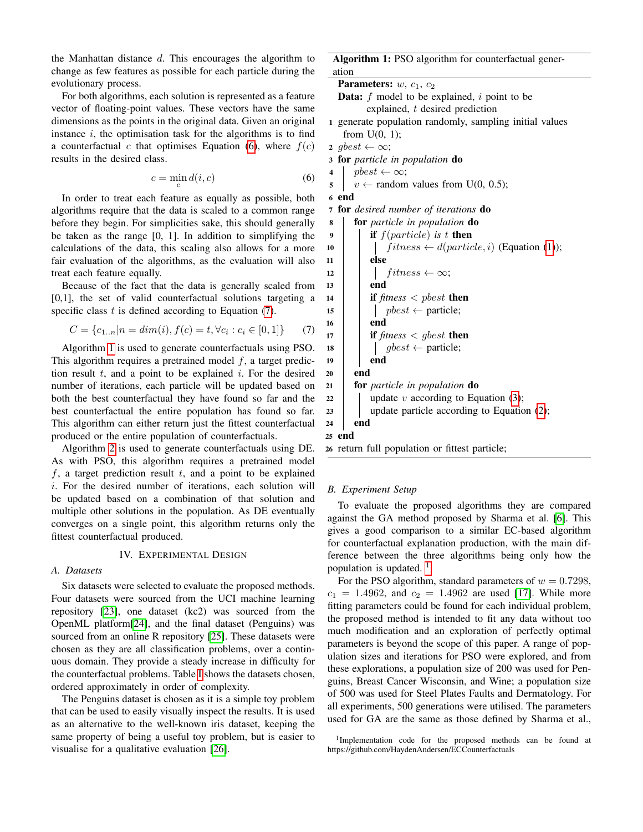the Manhattan distance  $d$ . This encourages the algorithm to change as few features as possible for each particle during the evolutionary process.

For both algorithms, each solution is represented as a feature vector of floating-point values. These vectors have the same dimensions as the points in the original data. Given an original instance  $i$ , the optimisation task for the algorithms is to find a counterfactual c that optimises Equation [\(6\)](#page-3-0), where  $f(c)$ results in the desired class.

<span id="page-3-0"></span>
$$
c = \min_{c} d(i, c) \tag{6}
$$

In order to treat each feature as equally as possible, both algorithms require that the data is scaled to a common range before they begin. For simplicities sake, this should generally be taken as the range [0, 1]. In addition to simplifying the calculations of the data, this scaling also allows for a more fair evaluation of the algorithms, as the evaluation will also treat each feature equally.

Because of the fact that the data is generally scaled from [0,1], the set of valid counterfactual solutions targeting a specific class  $t$  is defined according to Equation [\(7\)](#page-3-1).

<span id="page-3-1"></span>
$$
C = \{c_{1..n}|n = dim(i), f(c) = t, \forall c_i : c_i \in [0,1]\}
$$
 (7)

Algorithm [1](#page-3-2) is used to generate counterfactuals using PSO. This algorithm requires a pretrained model  $f$ , a target prediction result  $t$ , and a point to be explained  $i$ . For the desired number of iterations, each particle will be updated based on both the best counterfactual they have found so far and the best counterfactual the entire population has found so far. This algorithm can either return just the fittest counterfactual produced or the entire population of counterfactuals.

Algorithm [2](#page-4-0) is used to generate counterfactuals using DE. As with PSO, this algorithm requires a pretrained model  $f$ , a target prediction result  $t$ , and a point to be explained i. For the desired number of iterations, each solution will be updated based on a combination of that solution and multiple other solutions in the population. As DE eventually converges on a single point, this algorithm returns only the fittest counterfactual produced.

## IV. EXPERIMENTAL DESIGN

# *A. Datasets*

Six datasets were selected to evaluate the proposed methods. Four datasets were sourced from the UCI machine learning repository [\[23\]](#page-7-22), one dataset (kc2) was sourced from the OpenML platform[\[24\]](#page-7-23), and the final dataset (Penguins) was sourced from an online R repository [\[25\]](#page-7-24). These datasets were chosen as they are all classification problems, over a continuous domain. They provide a steady increase in difficulty for the counterfactual problems. Table [I](#page-4-1) shows the datasets chosen, ordered approximately in order of complexity.

The Penguins dataset is chosen as it is a simple toy problem that can be used to easily visually inspect the results. It is used as an alternative to the well-known iris dataset, keeping the same property of being a useful toy problem, but is easier to visualise for a qualitative evaluation [\[26\]](#page-7-25).

Algorithm 1: PSO algorithm for counterfactual generation

Parameters:  $w, c_1, c_2$ **Data:**  $f$  model to be explained,  $i$  point to be explained, t desired prediction 1 generate population randomly, sampling initial values from  $U(0, 1)$ ; 2 gbest  $\leftarrow \infty$ ; <sup>3</sup> for *particle in population* do 4 pbest  $\leftarrow \infty$ ;  $5 \mid v \leftarrow$  random values from U(0, 0.5); 6 end <sup>7</sup> for *desired number of iterations* do <sup>8</sup> for *particle in population* do  $9$  **if**  $f(particle)$  *is*  $t$  then 10  $\left| \right|$  fitness  $\leftarrow$  d(particle, i) (Equation [\(1\)](#page-1-1));  $11$  else 12 | |  $fitness \leftarrow \infty;$  $13$  end 14 **if**  $fitness < pbest$  then 15 | |  $pbest \leftarrow$  particle;  $16$  | end 17 **if**  $fitness < gbest$  then 18 | |  $gbest \leftarrow$  particle;  $19$  end  $20$  end <sup>21</sup> for *particle in population* do 22 | update v according to Equation [\(3\)](#page-1-3);  $23$  update particle according to Equation [\(2\)](#page-1-2);  $24$  end 25 end <sup>26</sup> return full population or fittest particle;

#### <span id="page-3-2"></span>*B. Experiment Setup*

To evaluate the proposed algorithms they are compared against the GA method proposed by Sharma et al. [\[6\]](#page-7-5). This gives a good comparison to a similar EC-based algorithm for counterfactual explanation production, with the main difference between the three algorithms being only how the population is updated.  $\frac{1}{1}$  $\frac{1}{1}$  $\frac{1}{1}$ 

For the PSO algorithm, standard parameters of  $w = 0.7298$ ,  $c_1 = 1.4962$ , and  $c_2 = 1.4962$  are used [\[17\]](#page-7-16). While more fitting parameters could be found for each individual problem, the proposed method is intended to fit any data without too much modification and an exploration of perfectly optimal parameters is beyond the scope of this paper. A range of population sizes and iterations for PSO were explored, and from these explorations, a population size of 200 was used for Penguins, Breast Cancer Wisconsin, and Wine; a population size of 500 was used for Steel Plates Faults and Dermatology. For all experiments, 500 generations were utilised. The parameters used for GA are the same as those defined by Sharma et al.,

<span id="page-3-3"></span><sup>1</sup>Implementation code for the proposed methods can be found at https://github.com/HaydenAndersen/ECCounterfactuals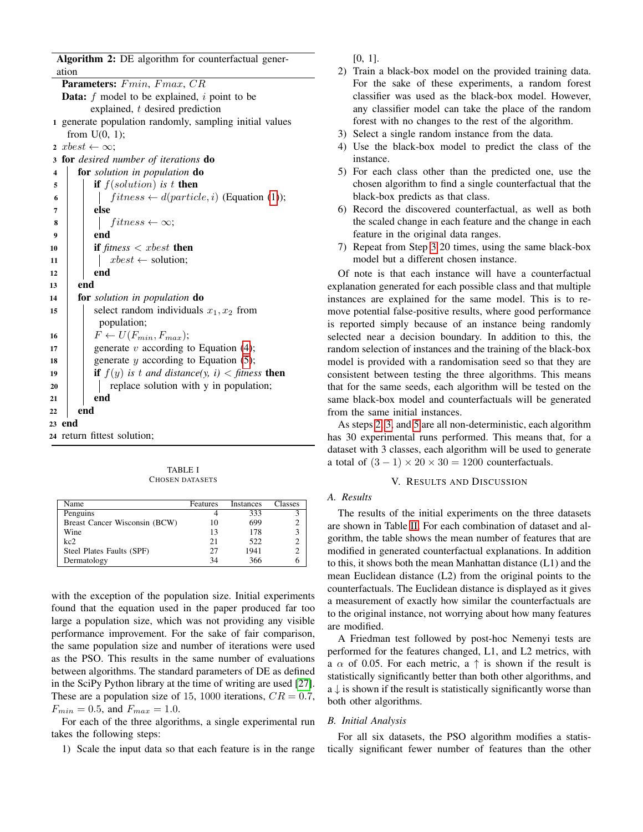Algorithm 2: DE algorithm for counterfactual generation

| Parameters: Fmin, Fmax, CR                                           |
|----------------------------------------------------------------------|
| <b>Data:</b> $f$ model to be explained, $i$ point to be              |
| explained, $t$ desired prediction                                    |
| 1 generate population randomly, sampling initial values              |
| from $U(0, 1)$ ;                                                     |
| 2 <i>xbest</i> $\leftarrow \infty$ ;                                 |
| for desired number of iterations do<br>3                             |
| for solution in population do<br>$\overline{\mathbf{4}}$             |
| <b>if</b> $f(solution)$ is t <b>then</b><br>5                        |
| $fitness \leftarrow d(particle, i)$ (Equation (1));<br>6             |
| else<br>7                                                            |
| $fitness \leftarrow \infty;$<br>8                                    |
| end<br>9                                                             |
| if fitness $\langle x \rangle$ then<br>10                            |
| $xbest \leftarrow$ solution;<br>11                                   |
| end<br>12                                                            |
| end<br>13                                                            |
| <b>for</b> solution in population <b>do</b><br>14                    |
| select random individuals $x_1, x_2$ from<br>15                      |
| population;                                                          |
| $F \leftarrow U(F_{min}, F_{max});$<br>16                            |
| generate $v$ according to Equation (4);<br>17                        |
| generate $y$ according to Equation (5);<br>18                        |
| <b>if</b> $f(y)$ is t and distance(y, i) < fitness <b>then</b><br>19 |
| replace solution with y in population;<br>20                         |
| end<br>21                                                            |
| end<br>22                                                            |
| 23 end                                                               |
| 24 return fittest solution;                                          |

TABLE I CHOSEN DATASETS

<span id="page-4-1"></span><span id="page-4-0"></span>

| Name                          | Features | <b>Instances</b> | <b>Classes</b> |
|-------------------------------|----------|------------------|----------------|
| Penguins                      |          | 333              |                |
| Breast Cancer Wisconsin (BCW) | 10       | 699              |                |
| Wine                          | 13       | 178              | 3              |
| kc2                           | 21       | 522              |                |
| Steel Plates Faults (SPF)     | 27       | 1941             |                |
| Dermatology                   | 34       | 366              |                |

with the exception of the population size. Initial experiments found that the equation used in the paper produced far too large a population size, which was not providing any visible performance improvement. For the sake of fair comparison, the same population size and number of iterations were used as the PSO. This results in the same number of evaluations between algorithms. The standard parameters of DE as defined in the SciPy Python library at the time of writing are used [\[27\]](#page-7-26). These are a population size of 15, 1000 iterations,  $CR = 0.7$ ,  $F_{min} = 0.5$ , and  $F_{max} = 1.0$ .

For each of the three algorithms, a single experimental run takes the following steps:

1) Scale the input data so that each feature is in the range

[0, 1].

- <span id="page-4-3"></span>2) Train a black-box model on the provided training data. For the sake of these experiments, a random forest classifier was used as the black-box model. However, any classifier model can take the place of the random forest with no changes to the rest of the algorithm.
- <span id="page-4-2"></span>3) Select a single random instance from the data.
- 4) Use the black-box model to predict the class of the instance.
- <span id="page-4-4"></span>5) For each class other than the predicted one, use the chosen algorithm to find a single counterfactual that the black-box predicts as that class.
- 6) Record the discovered counterfactual, as well as both the scaled change in each feature and the change in each feature in the original data ranges.
- 7) Repeat from Step [3](#page-4-2) 20 times, using the same black-box model but a different chosen instance.

Of note is that each instance will have a counterfactual explanation generated for each possible class and that multiple instances are explained for the same model. This is to remove potential false-positive results, where good performance is reported simply because of an instance being randomly selected near a decision boundary. In addition to this, the random selection of instances and the training of the black-box model is provided with a randomisation seed so that they are consistent between testing the three algorithms. This means that for the same seeds, each algorithm will be tested on the same black-box model and counterfactuals will be generated from the same initial instances.

As steps [2,](#page-4-3) [3,](#page-4-2) and [5](#page-4-4) are all non-deterministic, each algorithm has 30 experimental runs performed. This means that, for a dataset with 3 classes, each algorithm will be used to generate a total of  $(3 - 1) \times 20 \times 30 = 1200$  counterfactuals.

#### V. RESULTS AND DISCUSSION

# *A. Results*

The results of the initial experiments on the three datasets are shown in Table [II.](#page-5-0) For each combination of dataset and algorithm, the table shows the mean number of features that are modified in generated counterfactual explanations. In addition to this, it shows both the mean Manhattan distance (L1) and the mean Euclidean distance (L2) from the original points to the counterfactuals. The Euclidean distance is displayed as it gives a measurement of exactly how similar the counterfactuals are to the original instance, not worrying about how many features are modified.

A Friedman test followed by post-hoc Nemenyi tests are performed for the features changed, L1, and L2 metrics, with a  $\alpha$  of 0.05. For each metric, a  $\uparrow$  is shown if the result is statistically significantly better than both other algorithms, and  $a \downarrow$  is shown if the result is statistically significantly worse than both other algorithms.

# *B. Initial Analysis*

For all six datasets, the PSO algorithm modifies a statistically significant fewer number of features than the other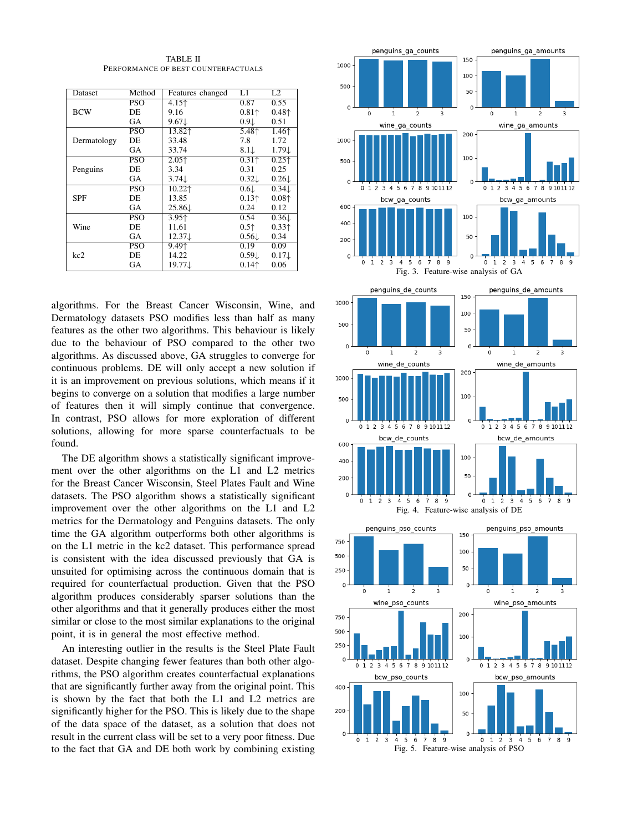TABLE II PERFORMANCE OF BEST COUNTERFACTUALS

<span id="page-5-0"></span>

| Dataset     | Method     | Features changed                      | L1                                     | L2                                   |
|-------------|------------|---------------------------------------|----------------------------------------|--------------------------------------|
| <b>BCW</b>  | PSO        | 4.15↑                                 | 0.87                                   | 0.55                                 |
|             | DE         | 9.16                                  | $0.81$ <sup><math>\dagger</math></sup> | 0.48 <sup>†</sup>                    |
|             | GА         | $9.67\downarrow$                      | 0.91                                   | 0.51                                 |
| Dermatology | PSO        | 13.82 <sup><math>\dagger</math></sup> | 5.48↑                                  | 1.46 <sup><math>\dagger</math></sup> |
|             | DE         | 33.48                                 | 7.8                                    | 1.72                                 |
|             | GА         | 33.74                                 | $8.1\downarrow$                        | $1.79\downarrow$                     |
| Penguins    | <b>PSO</b> | $2.05+$                               | $0.31+$                                | 0.25 <sup>†</sup>                    |
|             | DE         | 3.34                                  | 0.31                                   | 0.25                                 |
|             | GА         | $3.74\downarrow$                      | $0.32\downarrow$                       | $0.26\downarrow$                     |
| <b>SPF</b>  | <b>PSO</b> | 10.22↑                                | 0.61                                   | $0.34\downarrow$                     |
|             | DE         | 13.85                                 | $0.13+$                                | $0.08+$                              |
|             | GА         | 25.86                                 | 0.24                                   | 0.12                                 |
| Wine        | PSO        | 3.95 <sup><math>\dagger</math></sup>  | 0.54                                   | $0.36\downarrow$                     |
|             | DE         | 11.61                                 | 0.5 <sub>†</sub>                       | 0.33 <sup>†</sup>                    |
|             | GА         | $12.37 \downarrow$                    | $0.56\downarrow$                       | 0.34                                 |
| kc2         | PSO        | 9.491                                 | 0.19                                   | 0.09                                 |
|             | DE         | 14.22                                 | $0.59\downarrow$                       | $0.17\downarrow$                     |
|             | GА         | 19.77↓                                | $0.14+$                                | 0.06                                 |

algorithms. For the Breast Cancer Wisconsin, Wine, and Dermatology datasets PSO modifies less than half as many features as the other two algorithms. This behaviour is likely due to the behaviour of PSO compared to the other two algorithms. As discussed above, GA struggles to converge for continuous problems. DE will only accept a new solution if it is an improvement on previous solutions, which means if it begins to converge on a solution that modifies a large number of features then it will simply continue that convergence. In contrast, PSO allows for more exploration of different solutions, allowing for more sparse counterfactuals to be found.

The DE algorithm shows a statistically significant improvement over the other algorithms on the L1 and L2 metrics for the Breast Cancer Wisconsin, Steel Plates Fault and Wine datasets. The PSO algorithm shows a statistically significant improvement over the other algorithms on the L1 and L2 metrics for the Dermatology and Penguins datasets. The only time the GA algorithm outperforms both other algorithms is on the L1 metric in the kc2 dataset. This performance spread is consistent with the idea discussed previously that GA is unsuited for optimising across the continuous domain that is required for counterfactual production. Given that the PSO algorithm produces considerably sparser solutions than the other algorithms and that it generally produces either the most similar or close to the most similar explanations to the original point, it is in general the most effective method.

An interesting outlier in the results is the Steel Plate Fault dataset. Despite changing fewer features than both other algorithms, the PSO algorithm creates counterfactual explanations that are significantly further away from the original point. This is shown by the fact that both the L1 and L2 metrics are significantly higher for the PSO. This is likely due to the shape of the data space of the dataset, as a solution that does not result in the current class will be set to a very poor fitness. Due to the fact that GA and DE both work by combining existing

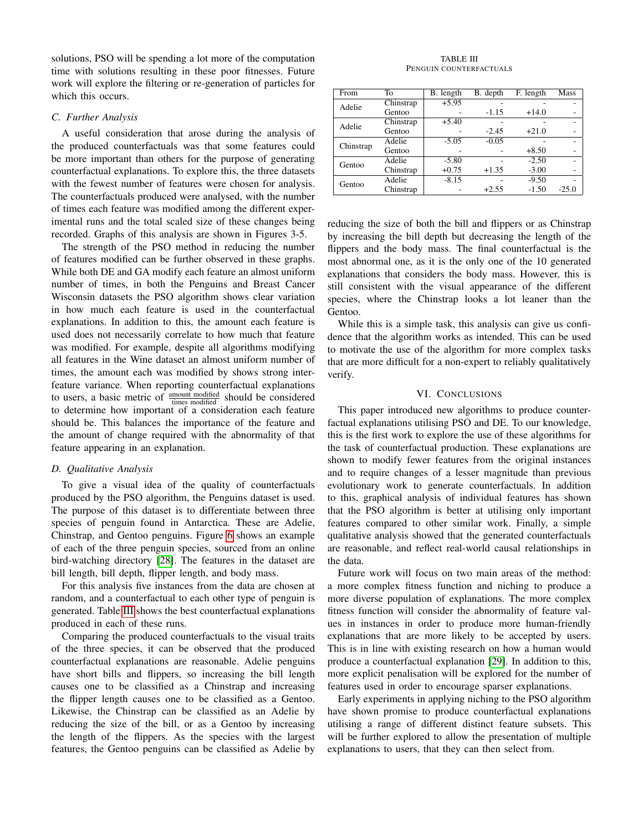solutions, PSO will be spending a lot more of the computation time with solutions resulting in these poor fitnesses. Future work will explore the filtering or re-generation of particles for which this occurs.

#### *C. Further Analysis*

A useful consideration that arose during the analysis of the produced counterfactuals was that some features could be more important than others for the purpose of generating counterfactual explanations. To explore this, the three datasets with the fewest number of features were chosen for analysis. The counterfactuals produced were analysed, with the number of times each feature was modified among the different experimental runs and the total scaled size of these changes being recorded. Graphs of this analysis are shown in Figures 3-5.

The strength of the PSO method in reducing the number of features modified can be further observed in these graphs. While both DE and GA modify each feature an almost uniform number of times, in both the Penguins and Breast Cancer Wisconsin datasets the PSO algorithm shows clear variation in how much each feature is used in the counterfactual explanations. In addition to this, the amount each feature is used does not necessarily correlate to how much that feature was modified. For example, despite all algorithms modifying all features in the Wine dataset an almost uniform number of times, the amount each was modified by shows strong interfeature variance. When reporting counterfactual explanations to users, a basic metric of  $\frac{\text{amount modified}}{\text{times modified}}$  should be considered to determine how important of a consideration each feature should be. This balances the importance of the feature and the amount of change required with the abnormality of that feature appearing in an explanation.

# *D. Qualitative Analysis*

To give a visual idea of the quality of counterfactuals produced by the PSO algorithm, the Penguins dataset is used. The purpose of this dataset is to differentiate between three species of penguin found in Antarctica. These are Adelie, Chinstrap, and Gentoo penguins. Figure [6](#page-7-27) shows an example of each of the three penguin species, sourced from an online bird-watching directory [\[28\]](#page-7-28). The features in the dataset are bill length, bill depth, flipper length, and body mass.

For this analysis five instances from the data are chosen at random, and a counterfactual to each other type of penguin is generated. Table [III](#page-6-0) shows the best counterfactual explanations produced in each of these runs.

Comparing the produced counterfactuals to the visual traits of the three species, it can be observed that the produced counterfactual explanations are reasonable. Adelie penguins have short bills and flippers, so increasing the bill length causes one to be classified as a Chinstrap and increasing the flipper length causes one to be classified as a Gentoo. Likewise, the Chinstrap can be classified as an Adelie by reducing the size of the bill, or as a Gentoo by increasing the length of the flippers. As the species with the largest features, the Gentoo penguins can be classified as Adelie by

#### TABLE III PENGUIN COUNTERFACTUALS

<span id="page-6-0"></span>

| From      | To        | B. length | B. depth | F. length | Mass    |
|-----------|-----------|-----------|----------|-----------|---------|
| Adelie    | Chinstrap | $+5.95$   |          |           |         |
|           | Gentoo    |           | $-1.15$  | $+14.0$   |         |
| Adelie    | Chinstrap | $+5.40$   |          |           |         |
|           | Gentoo    |           | $-2.45$  | $+21.0$   |         |
| Chinstrap | Adelie    | $-5.05$   | $-0.05$  |           |         |
|           | Gentoo    |           |          | $+8.50$   |         |
| Gentoo    | Adelie    | $-5.80$   |          | $-2.50$   |         |
|           | Chinstrap | $+0.75$   | $+1.35$  | $-3.00$   |         |
| Gentoo    | Adelie    | $-8.15$   |          | $-9.50$   |         |
|           | Chinstrap |           | $+2.55$  | $-1.50$   | $-25.0$ |

reducing the size of both the bill and flippers or as Chinstrap by increasing the bill depth but decreasing the length of the flippers and the body mass. The final counterfactual is the most abnormal one, as it is the only one of the 10 generated explanations that considers the body mass. However, this is still consistent with the visual appearance of the different species, where the Chinstrap looks a lot leaner than the Gentoo.

While this is a simple task, this analysis can give us confidence that the algorithm works as intended. This can be used to motivate the use of the algorithm for more complex tasks that are more difficult for a non-expert to reliably qualitatively verify.

# VI. CONCLUSIONS

This paper introduced new algorithms to produce counterfactual explanations utilising PSO and DE. To our knowledge, this is the first work to explore the use of these algorithms for the task of counterfactual production. These explanations are shown to modify fewer features from the original instances and to require changes of a lesser magnitude than previous evolutionary work to generate counterfactuals. In addition to this, graphical analysis of individual features has shown that the PSO algorithm is better at utilising only important features compared to other similar work. Finally, a simple qualitative analysis showed that the generated counterfactuals are reasonable, and reflect real-world causal relationships in the data.

Future work will focus on two main areas of the method: a more complex fitness function and niching to produce a more diverse population of explanations. The more complex fitness function will consider the abnormality of feature values in instances in order to produce more human-friendly explanations that are more likely to be accepted by users. This is in line with existing research on how a human would produce a counterfactual explanation [\[29\]](#page-7-29). In addition to this, more explicit penalisation will be explored for the number of features used in order to encourage sparser explanations.

Early experiments in applying niching to the PSO algorithm have shown promise to produce counterfactual explanations utilising a range of different distinct feature subsets. This will be further explored to allow the presentation of multiple explanations to users, that they can then select from.